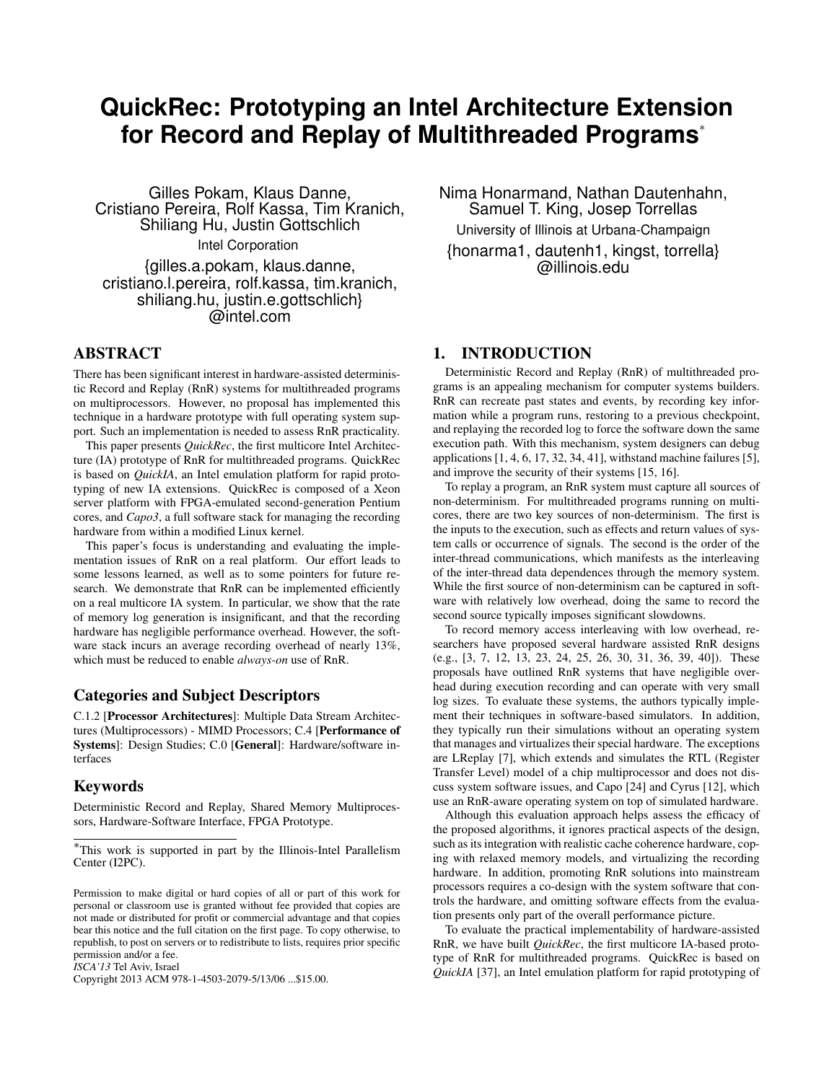# **QuickRec: Prototyping an Intel Architecture Extension for Record and Replay of Multithreaded Programs**<sup>∗</sup>

Gilles Pokam, Klaus Danne, Cristiano Pereira, Rolf Kassa, Tim Kranich, Shiliang Hu, Justin Gottschlich Intel Corporation {gilles.a.pokam, klaus.danne, cristiano.l.pereira, rolf.kassa, tim.kranich, shiliang.hu, justin.e.gottschlich} @intel.com

# ABSTRACT

There has been significant interest in hardware-assisted deterministic Record and Replay (RnR) systems for multithreaded programs on multiprocessors. However, no proposal has implemented this technique in a hardware prototype with full operating system support. Such an implementation is needed to assess RnR practicality.

This paper presents *QuickRec*, the first multicore Intel Architecture (IA) prototype of RnR for multithreaded programs. QuickRec is based on *QuickIA*, an Intel emulation platform for rapid prototyping of new IA extensions. QuickRec is composed of a Xeon server platform with FPGA-emulated second-generation Pentium cores, and *Capo3*, a full software stack for managing the recording hardware from within a modified Linux kernel.

This paper's focus is understanding and evaluating the implementation issues of RnR on a real platform. Our effort leads to some lessons learned, as well as to some pointers for future research. We demonstrate that RnR can be implemented efficiently on a real multicore IA system. In particular, we show that the rate of memory log generation is insignificant, and that the recording hardware has negligible performance overhead. However, the software stack incurs an average recording overhead of nearly 13%, which must be reduced to enable *always-on* use of RnR.

## Categories and Subject Descriptors

C.1.2 [Processor Architectures]: Multiple Data Stream Architectures (Multiprocessors) - MIMD Processors; C.4 [Performance of Systems]: Design Studies; C.0 [General]: Hardware/software interfaces

#### Keywords

Deterministic Record and Replay, Shared Memory Multiprocessors, Hardware-Software Interface, FPGA Prototype.

*ISCA'13* Tel Aviv, Israel

Copyright 2013 ACM 978-1-4503-2079-5/13/06 ...\$15.00.

Nima Honarmand, Nathan Dautenhahn, Samuel T. King, Josep Torrellas University of Illinois at Urbana-Champaign {honarma1, dautenh1, kingst, torrella} @illinois.edu

## 1. INTRODUCTION

Deterministic Record and Replay (RnR) of multithreaded programs is an appealing mechanism for computer systems builders. RnR can recreate past states and events, by recording key information while a program runs, restoring to a previous checkpoint, and replaying the recorded log to force the software down the same execution path. With this mechanism, system designers can debug applications  $[1, 4, 6, 17, 32, 34, 41]$ , withstand machine failures  $[5]$ , and improve the security of their systems [15, 16].

To replay a program, an RnR system must capture all sources of non-determinism. For multithreaded programs running on multicores, there are two key sources of non-determinism. The first is the inputs to the execution, such as effects and return values of system calls or occurrence of signals. The second is the order of the inter-thread communications, which manifests as the interleaving of the inter-thread data dependences through the memory system. While the first source of non-determinism can be captured in software with relatively low overhead, doing the same to record the second source typically imposes significant slowdowns.

To record memory access interleaving with low overhead, researchers have proposed several hardware assisted RnR designs (e.g., [3, 7, 12, 13, 23, 24, 25, 26, 30, 31, 36, 39, 40]). These proposals have outlined RnR systems that have negligible overhead during execution recording and can operate with very small log sizes. To evaluate these systems, the authors typically implement their techniques in software-based simulators. In addition, they typically run their simulations without an operating system that manages and virtualizes their special hardware. The exceptions are LReplay [7], which extends and simulates the RTL (Register Transfer Level) model of a chip multiprocessor and does not discuss system software issues, and Capo [24] and Cyrus [12], which use an RnR-aware operating system on top of simulated hardware.

Although this evaluation approach helps assess the efficacy of the proposed algorithms, it ignores practical aspects of the design, such as its integration with realistic cache coherence hardware, coping with relaxed memory models, and virtualizing the recording hardware. In addition, promoting RnR solutions into mainstream processors requires a co-design with the system software that controls the hardware, and omitting software effects from the evaluation presents only part of the overall performance picture.

To evaluate the practical implementability of hardware-assisted RnR, we have built *QuickRec*, the first multicore IA-based prototype of RnR for multithreaded programs. QuickRec is based on *QuickIA* [37], an Intel emulation platform for rapid prototyping of

<sup>∗</sup>This work is supported in part by the Illinois-Intel Parallelism Center (I2PC).

Permission to make digital or hard copies of all or part of this work for personal or classroom use is granted without fee provided that copies are not made or distributed for profit or commercial advantage and that copies bear this notice and the full citation on the first page. To copy otherwise, to republish, to post on servers or to redistribute to lists, requires prior specific permission and/or a fee.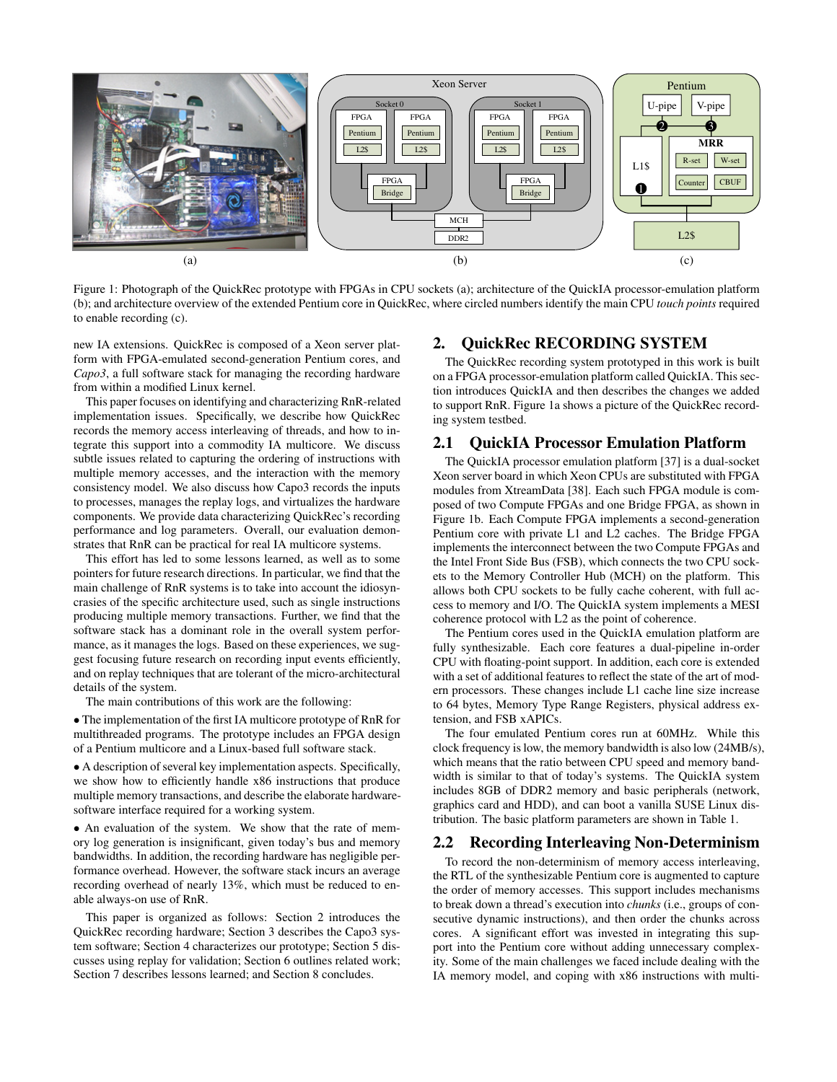

Figure 1: Photograph of the QuickRec prototype with FPGAs in CPU sockets (a); architecture of the QuickIA processor-emulation platform (b); and architecture overview of the extended Pentium core in QuickRec, where circled numbers identify the main CPU *touch points* required to enable recording (c).

new IA extensions. QuickRec is composed of a Xeon server platform with FPGA-emulated second-generation Pentium cores, and *Capo3*, a full software stack for managing the recording hardware from within a modified Linux kernel.

This paper focuses on identifying and characterizing RnR-related implementation issues. Specifically, we describe how QuickRec records the memory access interleaving of threads, and how to integrate this support into a commodity IA multicore. We discuss subtle issues related to capturing the ordering of instructions with multiple memory accesses, and the interaction with the memory consistency model. We also discuss how Capo3 records the inputs to processes, manages the replay logs, and virtualizes the hardware components. We provide data characterizing QuickRec's recording performance and log parameters. Overall, our evaluation demonstrates that RnR can be practical for real IA multicore systems.

This effort has led to some lessons learned, as well as to some pointers for future research directions. In particular, we find that the main challenge of RnR systems is to take into account the idiosyncrasies of the specific architecture used, such as single instructions producing multiple memory transactions. Further, we find that the software stack has a dominant role in the overall system performance, as it manages the logs. Based on these experiences, we suggest focusing future research on recording input events efficiently, and on replay techniques that are tolerant of the micro-architectural details of the system.

The main contributions of this work are the following:

• The implementation of the first IA multicore prototype of RnR for multithreaded programs. The prototype includes an FPGA design of a Pentium multicore and a Linux-based full software stack.

 $\bullet$  A description of several key implementation aspects. Specifically, we show how to efficiently handle x86 instructions that produce multiple memory transactions, and describe the elaborate hardwaresoftware interface required for a working system.

• An evaluation of the system. We show that the rate of memory log generation is insignificant, given today's bus and memory bandwidths. In addition, the recording hardware has negligible performance overhead. However, the software stack incurs an average recording overhead of nearly 13%, which must be reduced to enable always-on use of RnR.

This paper is organized as follows: Section 2 introduces the QuickRec recording hardware; Section 3 describes the Capo3 system software; Section 4 characterizes our prototype; Section 5 discusses using replay for validation; Section 6 outlines related work; Section 7 describes lessons learned; and Section 8 concludes.

## 2. QuickRec RECORDING SYSTEM

The QuickRec recording system prototyped in this work is built on a FPGA processor-emulation platform called QuickIA. This section introduces QuickIA and then describes the changes we added to support RnR. Figure 1a shows a picture of the QuickRec recording system testbed.

## 2.1 QuickIA Processor Emulation Platform

The QuickIA processor emulation platform [37] is a dual-socket Xeon server board in which Xeon CPUs are substituted with FPGA modules from XtreamData [38]. Each such FPGA module is composed of two Compute FPGAs and one Bridge FPGA, as shown in Figure 1b. Each Compute FPGA implements a second-generation Pentium core with private L1 and L2 caches. The Bridge FPGA implements the interconnect between the two Compute FPGAs and the Intel Front Side Bus (FSB), which connects the two CPU sockets to the Memory Controller Hub (MCH) on the platform. This allows both CPU sockets to be fully cache coherent, with full access to memory and I/O. The QuickIA system implements a MESI coherence protocol with L2 as the point of coherence.

The Pentium cores used in the QuickIA emulation platform are fully synthesizable. Each core features a dual-pipeline in-order CPU with floating-point support. In addition, each core is extended with a set of additional features to reflect the state of the art of modern processors. These changes include L1 cache line size increase to 64 bytes, Memory Type Range Registers, physical address extension, and FSB xAPICs.

The four emulated Pentium cores run at 60MHz. While this clock frequency islow, the memory bandwidth is also low (24MB/s), which means that the ratio between CPU speed and memory bandwidth is similar to that of today's systems. The QuickIA system includes 8GB of DDR2 memory and basic peripherals (network, graphics card and HDD), and can boot a vanilla SUSE Linux distribution. The basic platform parameters are shown in Table 1.

## 2.2 Recording Interleaving Non-Determinism

To record the non-determinism of memory access interleaving, the RTL of the synthesizable Pentium core is augmented to capture the order of memory accesses. This support includes mechanisms to break down a thread's execution into *chunks* (i.e., groups of consecutive dynamic instructions), and then order the chunks across cores. A significant effort was invested in integrating this support into the Pentium core without adding unnecessary complexity. Some of the main challenges we faced include dealing with the IA memory model, and coping with x86 instructions with multi-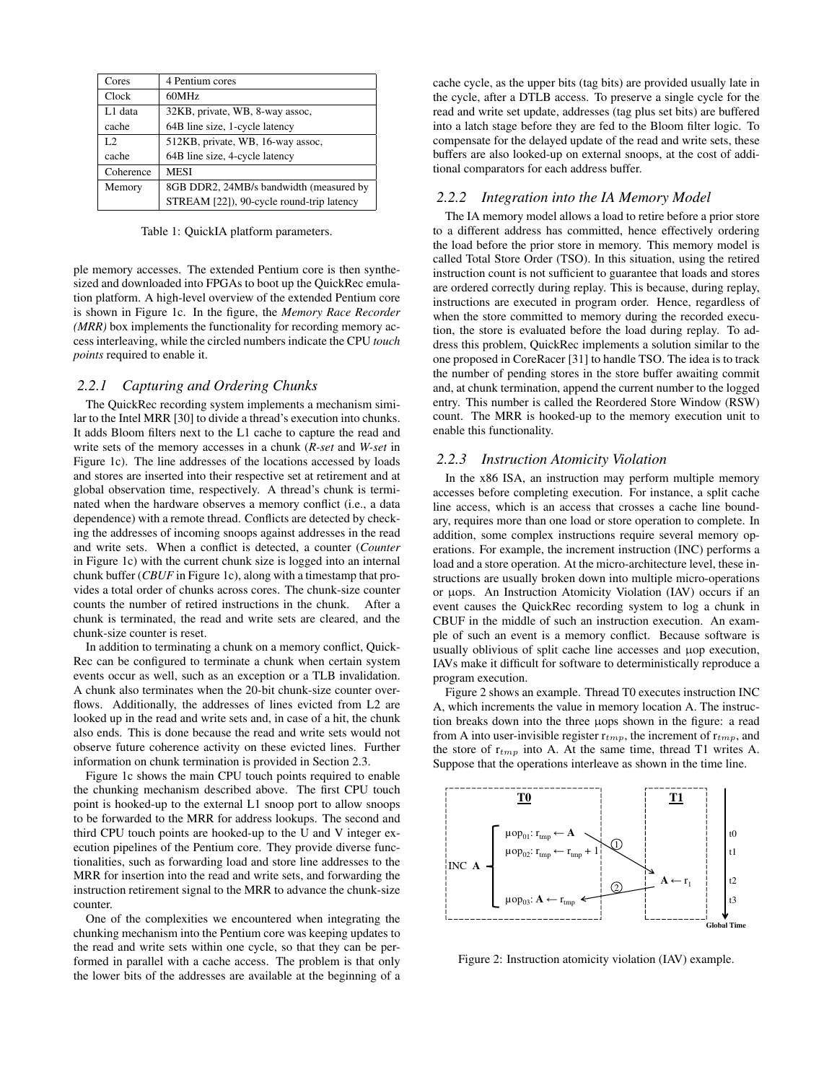| Cores     | 4 Pentium cores                           |  |
|-----------|-------------------------------------------|--|
| Clock     | 60MHz                                     |  |
| L1 data   | 32KB, private, WB, 8-way assoc,           |  |
| cache     | 64B line size, 1-cycle latency            |  |
| L2        | 512KB, private, WB, 16-way assoc,         |  |
| cache     | 64B line size, 4-cycle latency            |  |
| Coherence | <b>MESI</b>                               |  |
| Memory    | 8GB DDR2, 24MB/s bandwidth (measured by   |  |
|           | STREAM [22]), 90-cycle round-trip latency |  |

Table 1: QuickIA platform parameters.

ple memory accesses. The extended Pentium core is then synthesized and downloaded into FPGAs to boot up the QuickRec emulation platform. A high-level overview of the extended Pentium core is shown in Figure 1c. In the figure, the *Memory Race Recorder (MRR)* box implements the functionality for recording memory access interleaving, while the circled numbers indicate the CPU *touch points* required to enable it.

#### *2.2.1 Capturing and Ordering Chunks*

The QuickRec recording system implements a mechanism similar to the Intel MRR [30] to divide a thread's execution into chunks. It adds Bloom filters next to the L1 cache to capture the read and write sets of the memory accesses in a chunk (*R-set* and *W-set* in Figure 1c). The line addresses of the locations accessed by loads and stores are inserted into their respective set at retirement and at global observation time, respectively. A thread's chunk is terminated when the hardware observes a memory conflict (i.e., a data dependence) with a remote thread. Conflicts are detected by checking the addresses of incoming snoops against addresses in the read and write sets. When a conflict is detected, a counter (*Counter* in Figure 1c) with the current chunk size is logged into an internal chunk buffer (*CBUF* in Figure 1c), along with a timestamp that provides a total order of chunks across cores. The chunk-size counter counts the number of retired instructions in the chunk. After a chunk is terminated, the read and write sets are cleared, and the chunk-size counter is reset.

In addition to terminating a chunk on a memory conflict, Quick-Rec can be configured to terminate a chunk when certain system events occur as well, such as an exception or a TLB invalidation. A chunk also terminates when the 20-bit chunk-size counter overflows. Additionally, the addresses of lines evicted from L2 are looked up in the read and write sets and, in case of a hit, the chunk also ends. This is done because the read and write sets would not observe future coherence activity on these evicted lines. Further information on chunk termination is provided in Section 2.3.

Figure 1c shows the main CPU touch points required to enable the chunking mechanism described above. The first CPU touch point is hooked-up to the external L1 snoop port to allow snoops to be forwarded to the MRR for address lookups. The second and third CPU touch points are hooked-up to the U and V integer execution pipelines of the Pentium core. They provide diverse functionalities, such as forwarding load and store line addresses to the MRR for insertion into the read and write sets, and forwarding the instruction retirement signal to the MRR to advance the chunk-size counter.

One of the complexities we encountered when integrating the chunking mechanism into the Pentium core was keeping updates to the read and write sets within one cycle, so that they can be performed in parallel with a cache access. The problem is that only the lower bits of the addresses are available at the beginning of a cache cycle, as the upper bits (tag bits) are provided usually late in the cycle, after a DTLB access. To preserve a single cycle for the read and write set update, addresses (tag plus set bits) are buffered into a latch stage before they are fed to the Bloom filter logic. To compensate for the delayed update of the read and write sets, these buffers are also looked-up on external snoops, at the cost of additional comparators for each address buffer.

#### *2.2.2 Integration into the IA Memory Model*

The IA memory model allows a load to retire before a prior store to a different address has committed, hence effectively ordering the load before the prior store in memory. This memory model is called Total Store Order (TSO). In this situation, using the retired instruction count is not sufficient to guarantee that loads and stores are ordered correctly during replay. This is because, during replay, instructions are executed in program order. Hence, regardless of when the store committed to memory during the recorded execution, the store is evaluated before the load during replay. To address this problem, QuickRec implements a solution similar to the one proposed in CoreRacer [31] to handle TSO. The idea is to track the number of pending stores in the store buffer awaiting commit and, at chunk termination, append the current number to the logged entry. This number is called the Reordered Store Window (RSW) count. The MRR is hooked-up to the memory execution unit to enable this functionality.

#### *2.2.3 Instruction Atomicity Violation*

In the x86 ISA, an instruction may perform multiple memory accesses before completing execution. For instance, a split cache line access, which is an access that crosses a cache line boundary, requires more than one load or store operation to complete. In addition, some complex instructions require several memory operations. For example, the increment instruction (INC) performs a load and a store operation. At the micro-architecture level, these instructions are usually broken down into multiple micro-operations or µops. An Instruction Atomicity Violation (IAV) occurs if an event causes the QuickRec recording system to log a chunk in CBUF in the middle of such an instruction execution. An example of such an event is a memory conflict. Because software is usually oblivious of split cache line accesses and µop execution, IAVs make it difficult for software to deterministically reproduce a program execution.

Figure 2 shows an example. Thread T0 executes instruction INC A, which increments the value in memory location A. The instruction breaks down into the three µops shown in the figure: a read from A into user-invisible register  $r_{tmp}$ , the increment of  $r_{tmp}$ , and the store of  $r_{tmp}$  into A. At the same time, thread T1 writes A. Suppose that the operations interleave as shown in the time line.



Figure 2: Instruction atomicity violation (IAV) example.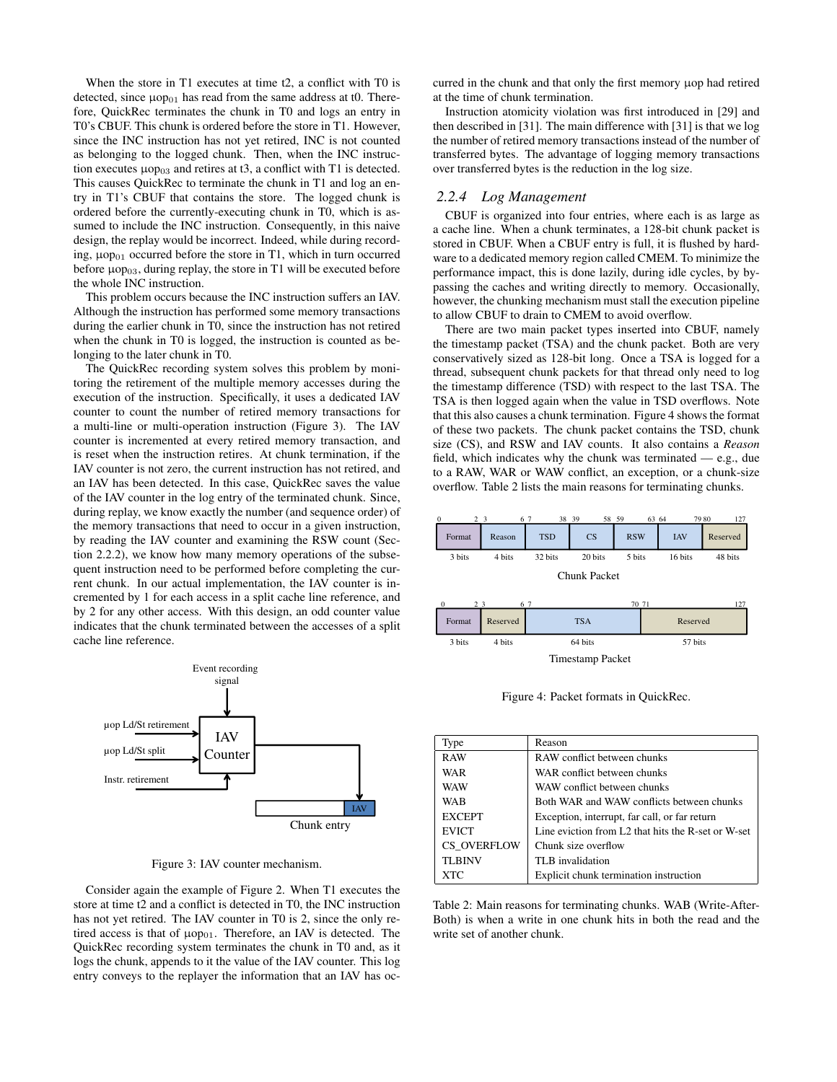When the store in T1 executes at time t2, a conflict with T0 is detected, since  $\mu$ op<sub>01</sub> has read from the same address at t0. Therefore, QuickRec terminates the chunk in T0 and logs an entry in T0's CBUF. This chunk is ordered before the store in T1. However, since the INC instruction has not yet retired, INC is not counted as belonging to the logged chunk. Then, when the INC instruction executes  $\mu$ op<sub>03</sub> and retires at t3, a conflict with T1 is detected. This causes QuickRec to terminate the chunk in T1 and log an entry in T1's CBUF that contains the store. The logged chunk is ordered before the currently-executing chunk in T0, which is assumed to include the INC instruction. Consequently, in this naive design, the replay would be incorrect. Indeed, while during recording,  $\mu$ op $_{01}$  occurred before the store in T1, which in turn occurred before  $\mu$ op<sub>03</sub>, during replay, the store in T1 will be executed before the whole INC instruction.

This problem occurs because the INC instruction suffers an IAV. Although the instruction has performed some memory transactions during the earlier chunk in T0, since the instruction has not retired when the chunk in T0 is logged, the instruction is counted as belonging to the later chunk in T0.

The QuickRec recording system solves this problem by monitoring the retirement of the multiple memory accesses during the execution of the instruction. Specifically, it uses a dedicated IAV counter to count the number of retired memory transactions for a multi-line or multi-operation instruction (Figure 3). The IAV counter is incremented at every retired memory transaction, and is reset when the instruction retires. At chunk termination, if the IAV counter is not zero, the current instruction has not retired, and an IAV has been detected. In this case, QuickRec saves the value of the IAV counter in the log entry of the terminated chunk. Since, during replay, we know exactly the number (and sequence order) of the memory transactions that need to occur in a given instruction, by reading the IAV counter and examining the RSW count (Section 2.2.2), we know how many memory operations of the subsequent instruction need to be performed before completing the current chunk. In our actual implementation, the IAV counter is incremented by 1 for each access in a split cache line reference, and by 2 for any other access. With this design, an odd counter value indicates that the chunk terminated between the accesses of a split cache line reference.



Figure 3: IAV counter mechanism.

Consider again the example of Figure 2. When T1 executes the store at time t2 and a conflict is detected in T0, the INC instruction has not yet retired. The IAV counter in T0 is 2, since the only retired access is that of  $\mu$ op<sub>01</sub>. Therefore, an IAV is detected. The QuickRec recording system terminates the chunk in T0 and, as it logs the chunk, appends to it the value of the IAV counter. This log entry conveys to the replayer the information that an IAV has occurred in the chunk and that only the first memory µop had retired at the time of chunk termination.

Instruction atomicity violation was first introduced in [29] and then described in [31]. The main difference with [31] is that we log the number of retired memory transactions instead of the number of transferred bytes. The advantage of logging memory transactions over transferred bytes is the reduction in the log size.

#### *2.2.4 Log Management*

CBUF is organized into four entries, where each is as large as a cache line. When a chunk terminates, a 128-bit chunk packet is stored in CBUF. When a CBUF entry is full, it is flushed by hardware to a dedicated memory region called CMEM. To minimize the performance impact, this is done lazily, during idle cycles, by bypassing the caches and writing directly to memory. Occasionally, however, the chunking mechanism must stall the execution pipeline to allow CBUF to drain to CMEM to avoid overflow.

There are two main packet types inserted into CBUF, namely the timestamp packet (TSA) and the chunk packet. Both are very conservatively sized as 128-bit long. Once a TSA is logged for a thread, subsequent chunk packets for that thread only need to log the timestamp difference (TSD) with respect to the last TSA. The TSA is then logged again when the value in TSD overflows. Note that this also causes a chunk termination. Figure 4 shows the format of these two packets. The chunk packet contains the TSD, chunk size (CS), and RSW and IAV counts. It also contains a *Reason* field, which indicates why the chunk was terminated — e.g., due to a RAW, WAR or WAW conflict, an exception, or a chunk-size overflow. Table 2 lists the main reasons for terminating chunks.



Figure 4: Packet formats in QuickRec.

Timestamp Packet

| Type               | Reason                                             |  |
|--------------------|----------------------------------------------------|--|
| <b>RAW</b>         | RAW conflict between chunks                        |  |
| WAR                | WAR conflict between chunks                        |  |
| <b>WAW</b>         | WAW conflict between chunks                        |  |
| WAB                | Both WAR and WAW conflicts between chunks          |  |
| <b>EXCEPT</b>      | Exception, interrupt, far call, or far return      |  |
| <b>EVICT</b>       | Line eviction from L2 that hits the R-set or W-set |  |
| <b>CS OVERFLOW</b> | Chunk size overflow                                |  |
| <b>TLBINV</b>      | TLB invalidation                                   |  |
| XTC.               | Explicit chunk termination instruction             |  |

Table 2: Main reasons for terminating chunks. WAB (Write-After-Both) is when a write in one chunk hits in both the read and the write set of another chunk.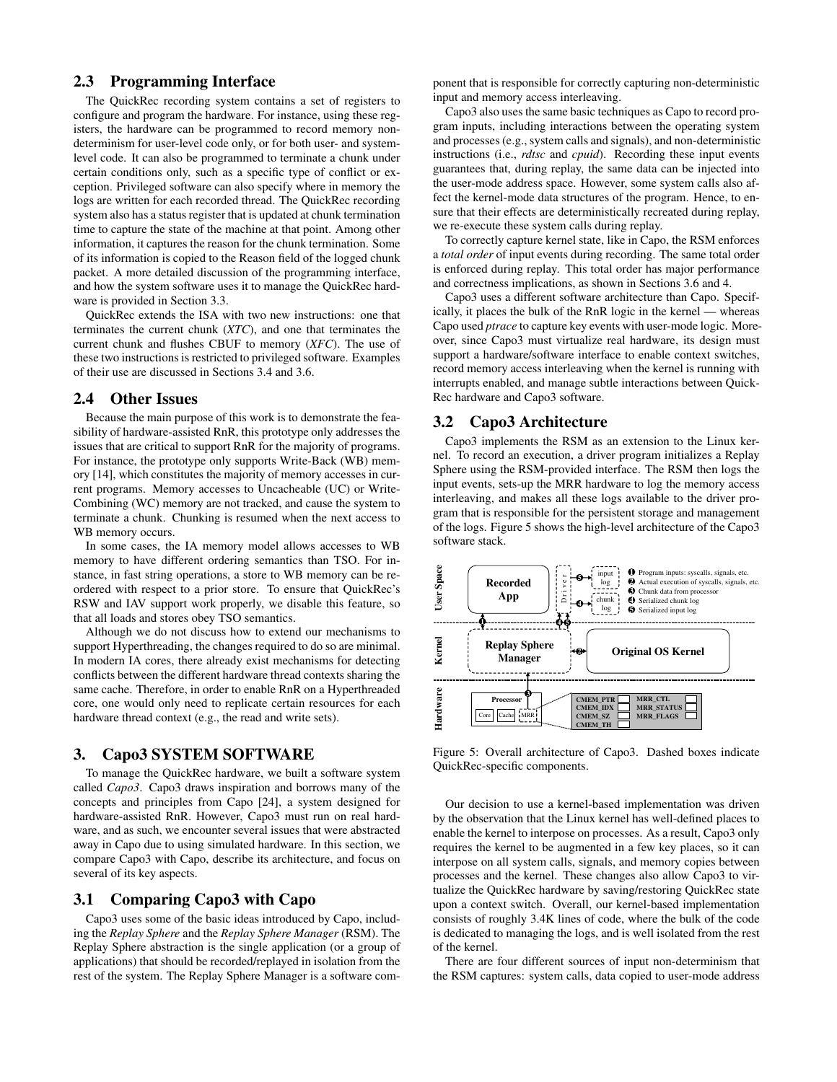# 2.3 Programming Interface

The QuickRec recording system contains a set of registers to configure and program the hardware. For instance, using these registers, the hardware can be programmed to record memory nondeterminism for user-level code only, or for both user- and systemlevel code. It can also be programmed to terminate a chunk under certain conditions only, such as a specific type of conflict or exception. Privileged software can also specify where in memory the logs are written for each recorded thread. The QuickRec recording system also has a status register that is updated at chunk termination time to capture the state of the machine at that point. Among other information, it captures the reason for the chunk termination. Some of its information is copied to the Reason field of the logged chunk packet. A more detailed discussion of the programming interface, and how the system software uses it to manage the QuickRec hardware is provided in Section 3.3.

QuickRec extends the ISA with two new instructions: one that terminates the current chunk (*XTC*), and one that terminates the current chunk and flushes CBUF to memory (*XFC*). The use of these two instructions is restricted to privileged software. Examples of their use are discussed in Sections 3.4 and 3.6.

#### 2.4 Other Issues

Because the main purpose of this work is to demonstrate the feasibility of hardware-assisted RnR, this prototype only addresses the issues that are critical to support RnR for the majority of programs. For instance, the prototype only supports Write-Back (WB) memory [14], which constitutes the majority of memory accesses in current programs. Memory accesses to Uncacheable (UC) or Write-Combining (WC) memory are not tracked, and cause the system to terminate a chunk. Chunking is resumed when the next access to WB memory occurs.

In some cases, the IA memory model allows accesses to WB memory to have different ordering semantics than TSO. For instance, in fast string operations, a store to WB memory can be reordered with respect to a prior store. To ensure that QuickRec's RSW and IAV support work properly, we disable this feature, so that all loads and stores obey TSO semantics.

Although we do not discuss how to extend our mechanisms to support Hyperthreading, the changes required to do so are minimal. In modern IA cores, there already exist mechanisms for detecting conflicts between the different hardware thread contexts sharing the same cache. Therefore, in order to enable RnR on a Hyperthreaded core, one would only need to replicate certain resources for each hardware thread context (e.g., the read and write sets).

### 3. Capo3 SYSTEM SOFTWARE

To manage the QuickRec hardware, we built a software system called *Capo3*. Capo3 draws inspiration and borrows many of the concepts and principles from Capo [24], a system designed for hardware-assisted RnR. However, Capo3 must run on real hardware, and as such, we encounter several issues that were abstracted away in Capo due to using simulated hardware. In this section, we compare Capo3 with Capo, describe its architecture, and focus on several of its key aspects.

## 3.1 Comparing Capo3 with Capo

Capo3 uses some of the basic ideas introduced by Capo, including the *Replay Sphere* and the *Replay Sphere Manager* (RSM). The Replay Sphere abstraction is the single application (or a group of applications) that should be recorded/replayed in isolation from the rest of the system. The Replay Sphere Manager is a software component that is responsible for correctly capturing non-deterministic input and memory access interleaving.

Capo3 also uses the same basic techniques as Capo to record program inputs, including interactions between the operating system and processes(e.g., system calls and signals), and non-deterministic instructions (i.e., *rdtsc* and *cpuid*). Recording these input events guarantees that, during replay, the same data can be injected into the user-mode address space. However, some system calls also affect the kernel-mode data structures of the program. Hence, to ensure that their effects are deterministically recreated during replay, we re-execute these system calls during replay.

To correctly capture kernel state, like in Capo, the RSM enforces a *total order* of input events during recording. The same total order is enforced during replay. This total order has major performance and correctness implications, as shown in Sections 3.6 and 4.

Capo3 uses a different software architecture than Capo. Specifically, it places the bulk of the RnR logic in the kernel — whereas Capo used *ptrace* to capture key events with user-mode logic. Moreover, since Capo3 must virtualize real hardware, its design must support a hardware/software interface to enable context switches, record memory access interleaving when the kernel is running with interrupts enabled, and manage subtle interactions between Quick-Rec hardware and Capo3 software.

## 3.2 Capo3 Architecture

Capo3 implements the RSM as an extension to the Linux kernel. To record an execution, a driver program initializes a Replay Sphere using the RSM-provided interface. The RSM then logs the input events, sets-up the MRR hardware to log the memory access interleaving, and makes all these logs available to the driver program that is responsible for the persistent storage and management of the logs. Figure 5 shows the high-level architecture of the Capo3 software stack.



Figure 5: Overall architecture of Capo3. Dashed boxes indicate QuickRec-specific components.

Our decision to use a kernel-based implementation was driven by the observation that the Linux kernel has well-defined places to enable the kernel to interpose on processes. As a result, Capo3 only requires the kernel to be augmented in a few key places, so it can interpose on all system calls, signals, and memory copies between processes and the kernel. These changes also allow Capo3 to virtualize the QuickRec hardware by saving/restoring QuickRec state upon a context switch. Overall, our kernel-based implementation consists of roughly 3.4K lines of code, where the bulk of the code is dedicated to managing the logs, and is well isolated from the rest of the kernel.

There are four different sources of input non-determinism that the RSM captures: system calls, data copied to user-mode address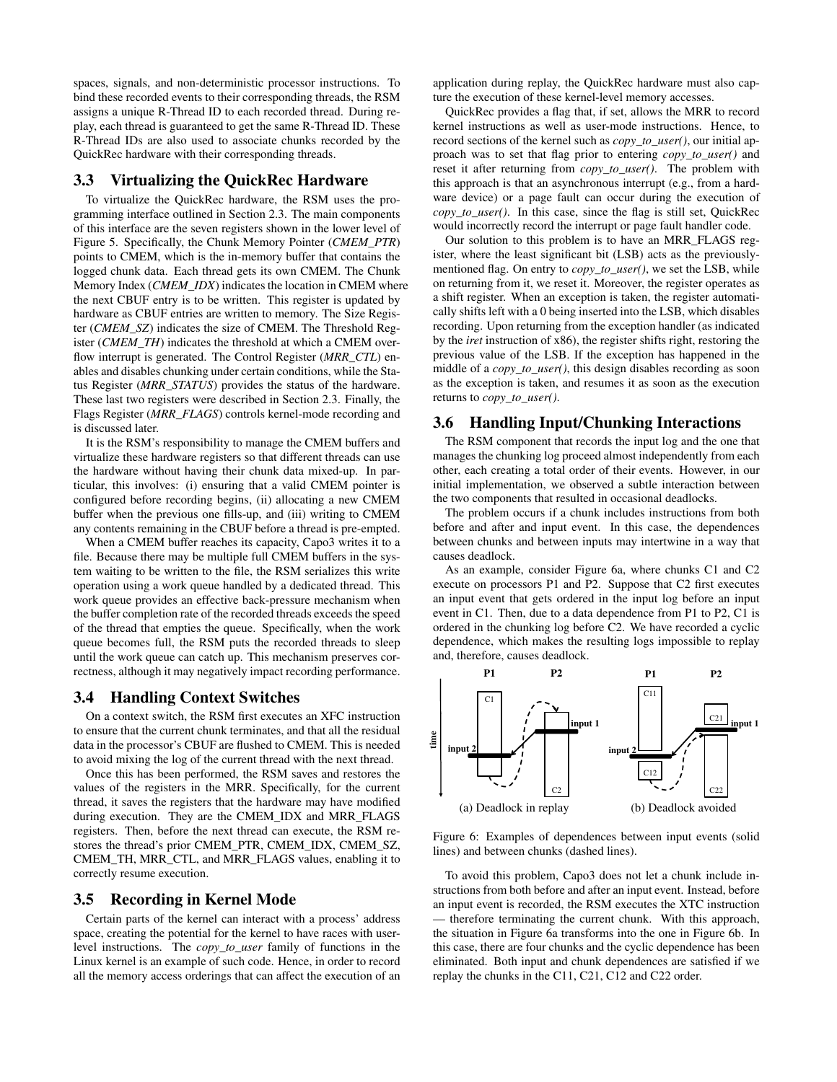spaces, signals, and non-deterministic processor instructions. To bind these recorded events to their corresponding threads, the RSM assigns a unique R-Thread ID to each recorded thread. During replay, each thread is guaranteed to get the same R-Thread ID. These R-Thread IDs are also used to associate chunks recorded by the QuickRec hardware with their corresponding threads.

## 3.3 Virtualizing the QuickRec Hardware

To virtualize the QuickRec hardware, the RSM uses the programming interface outlined in Section 2.3. The main components of this interface are the seven registers shown in the lower level of Figure 5. Specifically, the Chunk Memory Pointer (*CMEM\_PTR*) points to CMEM, which is the in-memory buffer that contains the logged chunk data. Each thread gets its own CMEM. The Chunk Memory Index (*CMEM\_IDX*) indicates the location in CMEM where the next CBUF entry is to be written. This register is updated by hardware as CBUF entries are written to memory. The Size Register (*CMEM\_SZ*) indicates the size of CMEM. The Threshold Register (*CMEM\_TH*) indicates the threshold at which a CMEM overflow interrupt is generated. The Control Register (*MRR\_CTL*) enables and disables chunking under certain conditions, while the Status Register (*MRR\_STATUS*) provides the status of the hardware. These last two registers were described in Section 2.3. Finally, the Flags Register (*MRR\_FLAGS*) controls kernel-mode recording and is discussed later.

It is the RSM's responsibility to manage the CMEM buffers and virtualize these hardware registers so that different threads can use the hardware without having their chunk data mixed-up. In particular, this involves: (i) ensuring that a valid CMEM pointer is configured before recording begins, (ii) allocating a new CMEM buffer when the previous one fills-up, and (iii) writing to CMEM any contents remaining in the CBUF before a thread is pre-empted.

When a CMEM buffer reaches its capacity, Capo3 writes it to a file. Because there may be multiple full CMEM buffers in the system waiting to be written to the file, the RSM serializes this write operation using a work queue handled by a dedicated thread. This work queue provides an effective back-pressure mechanism when the buffer completion rate of the recorded threads exceeds the speed of the thread that empties the queue. Specifically, when the work queue becomes full, the RSM puts the recorded threads to sleep until the work queue can catch up. This mechanism preserves correctness, although it may negatively impact recording performance.

#### 3.4 Handling Context Switches

On a context switch, the RSM first executes an XFC instruction to ensure that the current chunk terminates, and that all the residual data in the processor's CBUF are flushed to CMEM. This is needed to avoid mixing the log of the current thread with the next thread.

Once this has been performed, the RSM saves and restores the values of the registers in the MRR. Specifically, for the current thread, it saves the registers that the hardware may have modified during execution. They are the CMEM\_IDX and MRR\_FLAGS registers. Then, before the next thread can execute, the RSM restores the thread's prior CMEM\_PTR, CMEM\_IDX, CMEM\_SZ, CMEM\_TH, MRR\_CTL, and MRR\_FLAGS values, enabling it to correctly resume execution.

#### 3.5 Recording in Kernel Mode

Certain parts of the kernel can interact with a process' address space, creating the potential for the kernel to have races with userlevel instructions. The *copy\_to\_user* family of functions in the Linux kernel is an example of such code. Hence, in order to record all the memory access orderings that can affect the execution of an application during replay, the QuickRec hardware must also capture the execution of these kernel-level memory accesses.

QuickRec provides a flag that, if set, allows the MRR to record kernel instructions as well as user-mode instructions. Hence, to record sections of the kernel such as *copy\_to\_user()*, our initial approach was to set that flag prior to entering *copy\_to\_user()* and reset it after returning from *copy\_to\_user()*. The problem with this approach is that an asynchronous interrupt (e.g., from a hardware device) or a page fault can occur during the execution of *copy\_to\_user()*. In this case, since the flag is still set, QuickRec would incorrectly record the interrupt or page fault handler code.

Our solution to this problem is to have an MRR\_FLAGS register, where the least significant bit (LSB) acts as the previouslymentioned flag. On entry to *copy\_to\_user()*, we set the LSB, while on returning from it, we reset it. Moreover, the register operates as a shift register. When an exception is taken, the register automatically shifts left with a 0 being inserted into the LSB, which disables recording. Upon returning from the exception handler (as indicated by the *iret* instruction of x86), the register shifts right, restoring the previous value of the LSB. If the exception has happened in the middle of a *copy\_to\_user()*, this design disables recording as soon as the exception is taken, and resumes it as soon as the execution returns to *copy\_to\_user()*.

## 3.6 Handling Input/Chunking Interactions

The RSM component that records the input log and the one that manages the chunking log proceed almost independently from each other, each creating a total order of their events. However, in our initial implementation, we observed a subtle interaction between the two components that resulted in occasional deadlocks.

The problem occurs if a chunk includes instructions from both before and after and input event. In this case, the dependences between chunks and between inputs may intertwine in a way that causes deadlock.

As an example, consider Figure 6a, where chunks C1 and C2 execute on processors P1 and P2. Suppose that C2 first executes an input event that gets ordered in the input log before an input event in C1. Then, due to a data dependence from P1 to P2, C1 is ordered in the chunking log before C2. We have recorded a cyclic dependence, which makes the resulting logs impossible to replay and, therefore, causes deadlock.



Figure 6: Examples of dependences between input events (solid lines) and between chunks (dashed lines).

To avoid this problem, Capo3 does not let a chunk include instructions from both before and after an input event. Instead, before an input event is recorded, the RSM executes the XTC instruction — therefore terminating the current chunk. With this approach, the situation in Figure 6a transforms into the one in Figure 6b. In this case, there are four chunks and the cyclic dependence has been eliminated. Both input and chunk dependences are satisfied if we replay the chunks in the C11, C21, C12 and C22 order.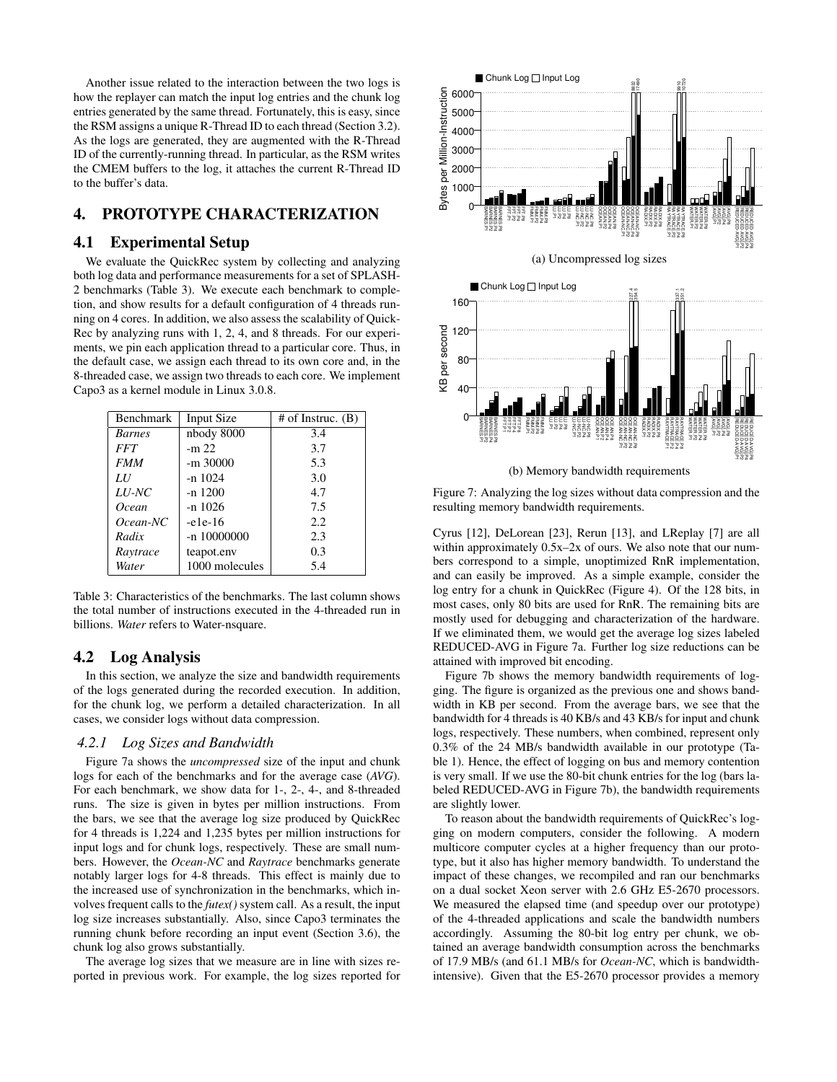Another issue related to the interaction between the two logs is how the replayer can match the input log entries and the chunk log entries generated by the same thread. Fortunately, this is easy, since the RSM assigns a unique R-Thread ID to each thread (Section 3.2). As the logs are generated, they are augmented with the R-Thread ID of the currently-running thread. In particular, as the RSM writes the CMEM buffers to the log, it attaches the current R-Thread ID to the buffer's data.

# 4. PROTOTYPE CHARACTERIZATION

## 4.1 Experimental Setup

We evaluate the QuickRec system by collecting and analyzing both log data and performance measurements for a set of SPLASH-2 benchmarks (Table 3). We execute each benchmark to completion, and show results for a default configuration of 4 threads running on 4 cores. In addition, we also assess the scalability of Quick-Rec by analyzing runs with 1, 2, 4, and 8 threads. For our experiments, we pin each application thread to a particular core. Thus, in the default case, we assign each thread to its own core and, in the 8-threaded case, we assign two threads to each core. We implement Capo3 as a kernel module in Linux 3.0.8.

| Benchmark     | <b>Input Size</b> | # of Instruc. $(B)$ |
|---------------|-------------------|---------------------|
| <b>Barnes</b> | nbody 8000        | 3.4                 |
| <i>FFT</i>    | $-m22$            | 3.7                 |
| <b>FMM</b>    | $-m$ 30000        | 5.3                 |
| IJ            | $-n$ 1024         | 3.0                 |
| $LU$ -NC      | $-n$ 1200         | 4.7                 |
| Ocean         | $-n$ 1026         | 7.5                 |
| $Ocean-NC$    | $-e1e-16$         | 2.2                 |
| Radix         | -n 10000000       | 2.3                 |
| Raytrace      | teapot.env        | 0.3                 |
| Water         | 1000 molecules    | 5.4                 |

Table 3: Characteristics of the benchmarks. The last column shows the total number of instructions executed in the 4-threaded run in billions. *Water* refers to Water-nsquare.

#### 4.2 Log Analysis

In this section, we analyze the size and bandwidth requirements of the logs generated during the recorded execution. In addition, for the chunk log, we perform a detailed characterization. In all cases, we consider logs without data compression.

#### *4.2.1 Log Sizes and Bandwidth*

Figure 7a shows the *uncompressed* size of the input and chunk logs for each of the benchmarks and for the average case (*AVG*). For each benchmark, we show data for 1-, 2-, 4-, and 8-threaded runs. The size is given in bytes per million instructions. From the bars, we see that the average log size produced by QuickRec for 4 threads is 1,224 and 1,235 bytes per million instructions for input logs and for chunk logs, respectively. These are small numbers. However, the *Ocean-NC* and *Raytrace* benchmarks generate notably larger logs for 4-8 threads. This effect is mainly due to the increased use of synchronization in the benchmarks, which involves frequent calls to the *futex()* system call. As a result, the input log size increases substantially. Also, since Capo3 terminates the running chunk before recording an input event (Section 3.6), the chunk log also grows substantially.

The average log sizes that we measure are in line with sizes reported in previous work. For example, the log sizes reported for



Figure 7: Analyzing the log sizes without data compression and the resulting memory bandwidth requirements.

Cyrus [12], DeLorean [23], Rerun [13], and LReplay [7] are all within approximately  $0.5x-2x$  of ours. We also note that our numbers correspond to a simple, unoptimized RnR implementation, and can easily be improved. As a simple example, consider the log entry for a chunk in QuickRec (Figure 4). Of the 128 bits, in most cases, only 80 bits are used for RnR. The remaining bits are mostly used for debugging and characterization of the hardware. If we eliminated them, we would get the average log sizes labeled REDUCED-AVG in Figure 7a. Further log size reductions can be attained with improved bit encoding.

Figure 7b shows the memory bandwidth requirements of logging. The figure is organized as the previous one and shows bandwidth in KB per second. From the average bars, we see that the bandwidth for 4 threads is 40 KB/s and 43 KB/s for input and chunk logs, respectively. These numbers, when combined, represent only 0.3% of the 24 MB/s bandwidth available in our prototype (Table 1). Hence, the effect of logging on bus and memory contention is very small. If we use the 80-bit chunk entries for the log (bars labeled REDUCED-AVG in Figure 7b), the bandwidth requirements are slightly lower.

To reason about the bandwidth requirements of QuickRec's logging on modern computers, consider the following. A modern multicore computer cycles at a higher frequency than our prototype, but it also has higher memory bandwidth. To understand the impact of these changes, we recompiled and ran our benchmarks on a dual socket Xeon server with 2.6 GHz E5-2670 processors. We measured the elapsed time (and speedup over our prototype) of the 4-threaded applications and scale the bandwidth numbers accordingly. Assuming the 80-bit log entry per chunk, we obtained an average bandwidth consumption across the benchmarks of 17.9 MB/s (and 61.1 MB/s for *Ocean-NC*, which is bandwidthintensive). Given that the E5-2670 processor provides a memory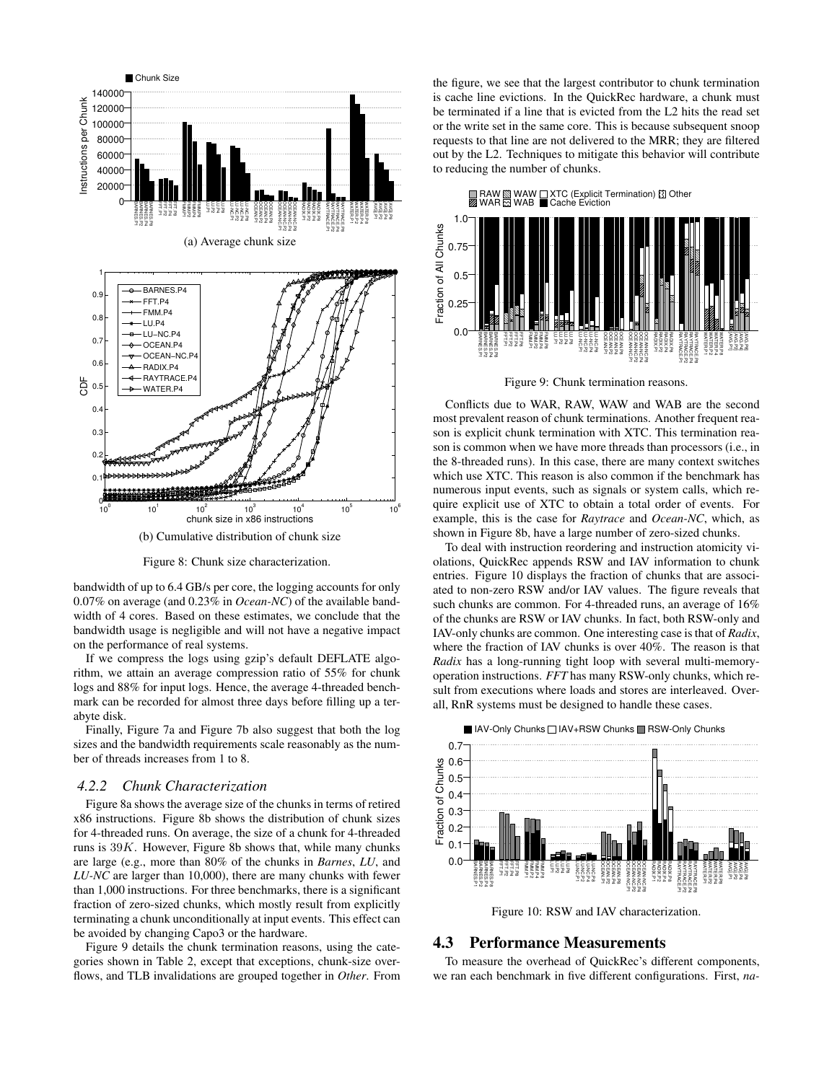

Figure 8: Chunk size characterization.

bandwidth of up to 6.4 GB/s per core, the logging accounts for only 0.07% on average (and 0.23% in *Ocean-NC*) of the available bandwidth of 4 cores. Based on these estimates, we conclude that the bandwidth usage is negligible and will not have a negative impact on the performance of real systems.

If we compress the logs using gzip's default DEFLATE algorithm, we attain an average compression ratio of 55% for chunk logs and 88% for input logs. Hence, the average 4-threaded benchmark can be recorded for almost three days before filling up a terabyte disk.

Finally, Figure 7a and Figure 7b also suggest that both the log sizes and the bandwidth requirements scale reasonably as the number of threads increases from 1 to 8.

#### *4.2.2 Chunk Characterization*

Figure 8a shows the average size of the chunks in terms of retired x86 instructions. Figure 8b shows the distribution of chunk sizes for 4-threaded runs. On average, the size of a chunk for 4-threaded runs is  $39K$ . However, Figure 8b shows that, while many chunks are large (e.g., more than 80% of the chunks in *Barnes*, *LU*, and *LU-NC* are larger than 10,000), there are many chunks with fewer than 1,000 instructions. For three benchmarks, there is a significant fraction of zero-sized chunks, which mostly result from explicitly terminating a chunk unconditionally at input events. This effect can be avoided by changing Capo3 or the hardware.

Figure 9 details the chunk termination reasons, using the categories shown in Table 2, except that exceptions, chunk-size overflows, and TLB invalidations are grouped together in *Other*. From the figure, we see that the largest contributor to chunk termination is cache line evictions. In the QuickRec hardware, a chunk must be terminated if a line that is evicted from the L2 hits the read set or the write set in the same core. This is because subsequent snoop requests to that line are not delivered to the MRR; they are filtered out by the L2. Techniques to mitigate this behavior will contribute to reducing the number of chunks.



Figure 9: Chunk termination reasons.

Conflicts due to WAR, RAW, WAW and WAB are the second most prevalent reason of chunk terminations. Another frequent reason is explicit chunk termination with XTC. This termination reason is common when we have more threads than processors (i.e., in the 8-threaded runs). In this case, there are many context switches which use XTC. This reason is also common if the benchmark has numerous input events, such as signals or system calls, which require explicit use of XTC to obtain a total order of events. For example, this is the case for *Raytrace* and *Ocean-NC*, which, as shown in Figure 8b, have a large number of zero-sized chunks.

To deal with instruction reordering and instruction atomicity violations, QuickRec appends RSW and IAV information to chunk entries. Figure 10 displays the fraction of chunks that are associated to non-zero RSW and/or IAV values. The figure reveals that such chunks are common. For 4-threaded runs, an average of 16% of the chunks are RSW or IAV chunks. In fact, both RSW-only and IAV-only chunks are common. One interesting case isthat of *Radix*, where the fraction of IAV chunks is over 40%. The reason is that *Radix* has a long-running tight loop with several multi-memoryoperation instructions. *FFT* has many RSW-only chunks, which result from executions where loads and stores are interleaved. Overall, RnR systems must be designed to handle these cases.



Figure 10: RSW and IAV characterization.

## 4.3 Performance Measurements

To measure the overhead of QuickRec's different components, we ran each benchmark in five different configurations. First, *na-*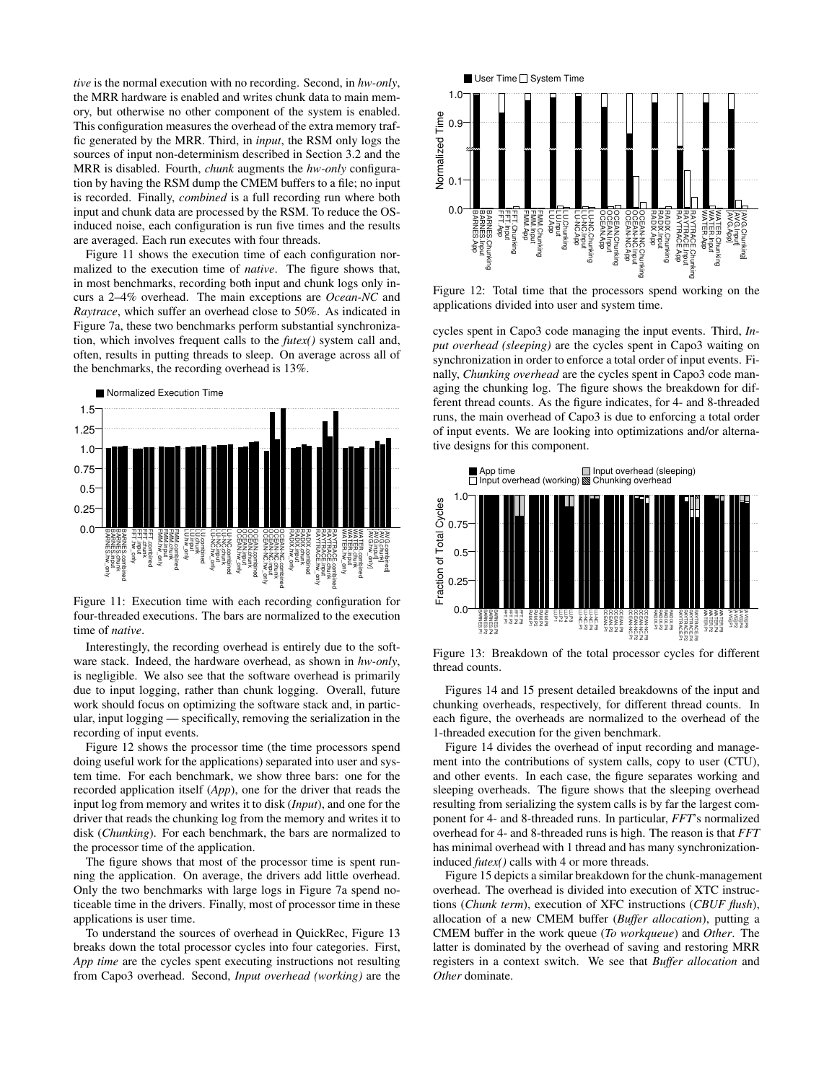*tive* is the normal execution with no recording. Second, in *hw-only*, the MRR hardware is enabled and writes chunk data to main memory, but otherwise no other component of the system is enabled. This configuration measures the overhead of the extra memory traffic generated by the MRR. Third, in *input*, the RSM only logs the sources of input non-determinism described in Section 3.2 and the MRR is disabled. Fourth, *chunk* augments the *hw-only* configuration by having the RSM dump the CMEM buffers to a file; no input is recorded. Finally, *combined* is a full recording run where both input and chunk data are processed by the RSM. To reduce the OSinduced noise, each configuration is run five times and the results are averaged. Each run executes with four threads.

Figure 11 shows the execution time of each configuration normalized to the execution time of *native*. The figure shows that, in most benchmarks, recording both input and chunk logs only incurs a 2–4% overhead. The main exceptions are *Ocean-NC* and *Raytrace*, which suffer an overhead close to 50%. As indicated in Figure 7a, these two benchmarks perform substantial synchronization, which involves frequent calls to the *futex()* system call and, often, results in putting threads to sleep. On average across all of the benchmarks, the recording overhead is 13%.



Figure 11: Execution time with each recording configuration for four-threaded executions. The bars are normalized to the execution time of *native*.

Interestingly, the recording overhead is entirely due to the software stack. Indeed, the hardware overhead, as shown in *hw-only*, is negligible. We also see that the software overhead is primarily due to input logging, rather than chunk logging. Overall, future work should focus on optimizing the software stack and, in particular, input logging — specifically, removing the serialization in the recording of input events.

Figure 12 shows the processor time (the time processors spend doing useful work for the applications) separated into user and system time. For each benchmark, we show three bars: one for the recorded application itself (*App*), one for the driver that reads the input log from memory and writes it to disk (*Input*), and one for the driver that reads the chunking log from the memory and writes it to disk (*Chunking*). For each benchmark, the bars are normalized to the processor time of the application.

The figure shows that most of the processor time is spent running the application. On average, the drivers add little overhead. Only the two benchmarks with large logs in Figure 7a spend noticeable time in the drivers. Finally, most of processor time in these applications is user time.

To understand the sources of overhead in QuickRec, Figure 13 breaks down the total processor cycles into four categories. First, *App time* are the cycles spent executing instructions not resulting from Capo3 overhead. Second, *Input overhead (working)* are the



Figure 12: Total time that the processors spend working on the applications divided into user and system time.

cycles spent in Capo3 code managing the input events. Third, *Input overhead (sleeping)* are the cycles spent in Capo3 waiting on synchronization in order to enforce a total order of input events. Finally, *Chunking overhead* are the cycles spent in Capo3 code managing the chunking log. The figure shows the breakdown for different thread counts. As the figure indicates, for 4- and 8-threaded runs, the main overhead of Capo3 is due to enforcing a total order of input events. We are looking into optimizations and/or alternative designs for this component.



Figure 13: Breakdown of the total processor cycles for different thread counts.

Figures 14 and 15 present detailed breakdowns of the input and chunking overheads, respectively, for different thread counts. In each figure, the overheads are normalized to the overhead of the 1-threaded execution for the given benchmark.

Figure 14 divides the overhead of input recording and management into the contributions of system calls, copy to user (CTU), and other events. In each case, the figure separates working and sleeping overheads. The figure shows that the sleeping overhead resulting from serializing the system calls is by far the largest component for 4- and 8-threaded runs. In particular, *FFT*'s normalized overhead for 4- and 8-threaded runs is high. The reason is that *FFT* has minimal overhead with 1 thread and has many synchronizationinduced *futex()* calls with 4 or more threads.

Figure 15 depicts a similar breakdown for the chunk-management overhead. The overhead is divided into execution of XTC instructions (*Chunk term*), execution of XFC instructions (*CBUF flush*), allocation of a new CMEM buffer (*Buffer allocation*), putting a CMEM buffer in the work queue (*To workqueue*) and *Other*. The latter is dominated by the overhead of saving and restoring MRR registers in a context switch. We see that *Buffer allocation* and *Other* dominate.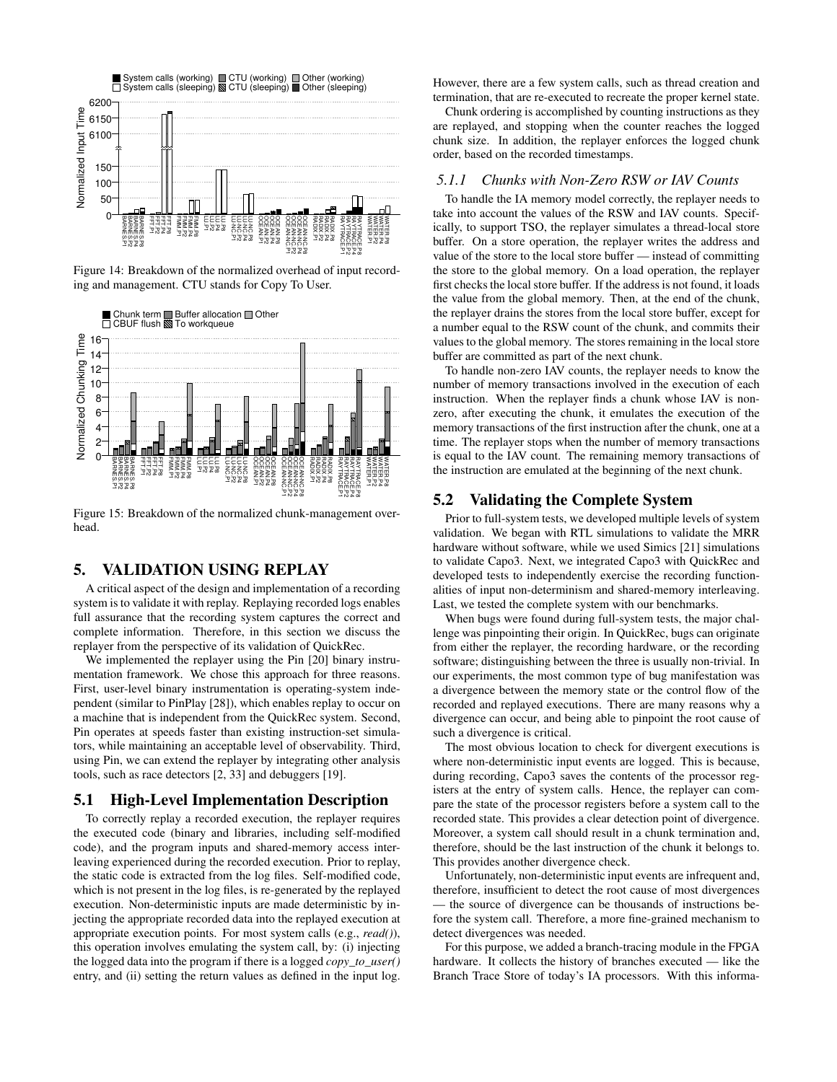

Figure 14: Breakdown of the normalized overhead of input recording and management. CTU stands for Copy To User.



Figure 15: Breakdown of the normalized chunk-management overhead.

## 5. VALIDATION USING REPLAY

A critical aspect of the design and implementation of a recording system isto validate it with replay. Replaying recorded logs enables full assurance that the recording system captures the correct and complete information. Therefore, in this section we discuss the replayer from the perspective of its validation of QuickRec.

We implemented the replayer using the Pin [20] binary instrumentation framework. We chose this approach for three reasons. First, user-level binary instrumentation is operating-system independent (similar to PinPlay [28]), which enables replay to occur on a machine that is independent from the QuickRec system. Second, Pin operates at speeds faster than existing instruction-set simulators, while maintaining an acceptable level of observability. Third, using Pin, we can extend the replayer by integrating other analysis tools, such as race detectors [2, 33] and debuggers [19].

#### 5.1 High-Level Implementation Description

To correctly replay a recorded execution, the replayer requires the executed code (binary and libraries, including self-modified code), and the program inputs and shared-memory access interleaving experienced during the recorded execution. Prior to replay, the static code is extracted from the log files. Self-modified code, which is not present in the log files, is re-generated by the replayed execution. Non-deterministic inputs are made deterministic by injecting the appropriate recorded data into the replayed execution at appropriate execution points. For most system calls (e.g., *read()*), this operation involves emulating the system call, by: (i) injecting the logged data into the program if there is a logged *copy\_to\_user()* entry, and (ii) setting the return values as defined in the input log.

However, there are a few system calls, such as thread creation and termination, that are re-executed to recreate the proper kernel state.

Chunk ordering is accomplished by counting instructions as they are replayed, and stopping when the counter reaches the logged chunk size. In addition, the replayer enforces the logged chunk order, based on the recorded timestamps.

#### *5.1.1 Chunks with Non-Zero RSW or IAV Counts*

To handle the IA memory model correctly, the replayer needs to take into account the values of the RSW and IAV counts. Specifically, to support TSO, the replayer simulates a thread-local store buffer. On a store operation, the replayer writes the address and value of the store to the local store buffer — instead of committing the store to the global memory. On a load operation, the replayer first checks the local store buffer. If the address is not found, it loads the value from the global memory. Then, at the end of the chunk, the replayer drains the stores from the local store buffer, except for a number equal to the RSW count of the chunk, and commits their values to the global memory. The stores remaining in the local store buffer are committed as part of the next chunk.

To handle non-zero IAV counts, the replayer needs to know the number of memory transactions involved in the execution of each instruction. When the replayer finds a chunk whose IAV is nonzero, after executing the chunk, it emulates the execution of the memory transactions of the first instruction after the chunk, one at a time. The replayer stops when the number of memory transactions is equal to the IAV count. The remaining memory transactions of the instruction are emulated at the beginning of the next chunk.

# 5.2 Validating the Complete System

Prior to full-system tests, we developed multiple levels of system validation. We began with RTL simulations to validate the MRR hardware without software, while we used Simics [21] simulations to validate Capo3. Next, we integrated Capo3 with QuickRec and developed tests to independently exercise the recording functionalities of input non-determinism and shared-memory interleaving. Last, we tested the complete system with our benchmarks.

When bugs were found during full-system tests, the major challenge was pinpointing their origin. In QuickRec, bugs can originate from either the replayer, the recording hardware, or the recording software; distinguishing between the three is usually non-trivial. In our experiments, the most common type of bug manifestation was a divergence between the memory state or the control flow of the recorded and replayed executions. There are many reasons why a divergence can occur, and being able to pinpoint the root cause of such a divergence is critical.

The most obvious location to check for divergent executions is where non-deterministic input events are logged. This is because, during recording, Capo3 saves the contents of the processor registers at the entry of system calls. Hence, the replayer can compare the state of the processor registers before a system call to the recorded state. This provides a clear detection point of divergence. Moreover, a system call should result in a chunk termination and, therefore, should be the last instruction of the chunk it belongs to. This provides another divergence check.

Unfortunately, non-deterministic input events are infrequent and, therefore, insufficient to detect the root cause of most divergences — the source of divergence can be thousands of instructions before the system call. Therefore, a more fine-grained mechanism to detect divergences was needed.

For this purpose, we added a branch-tracing module in the FPGA hardware. It collects the history of branches executed — like the Branch Trace Store of today's IA processors. With this informa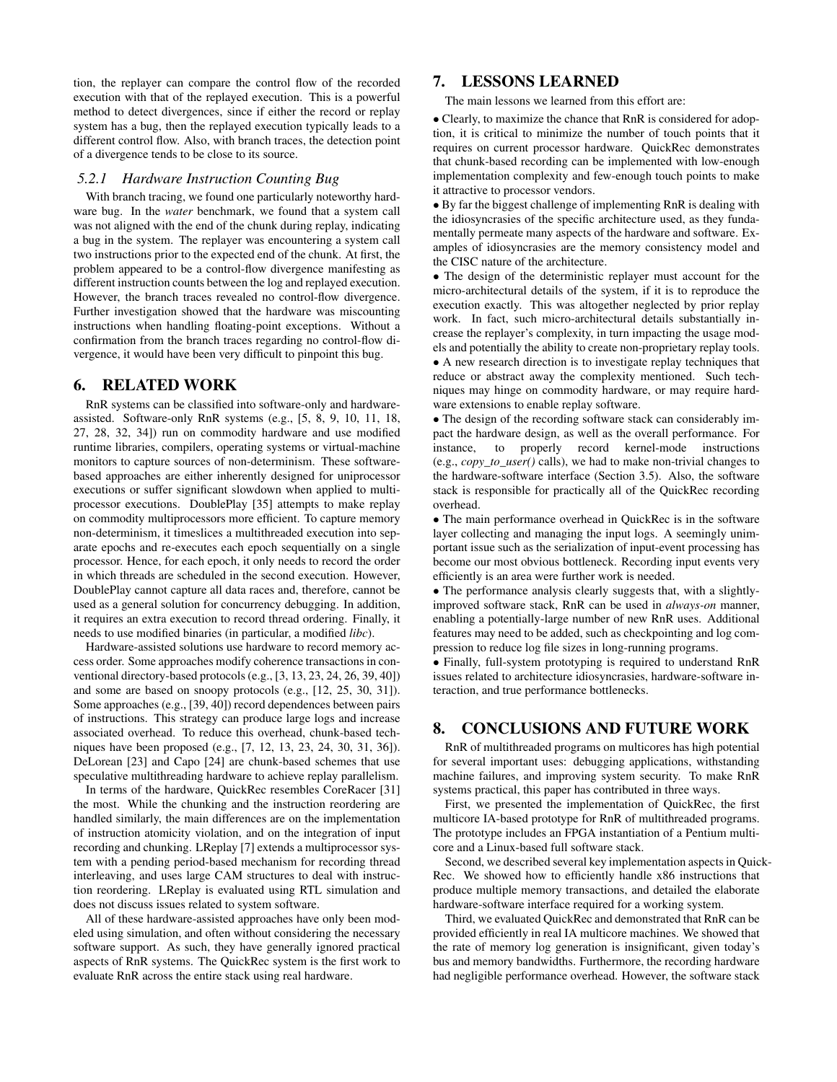tion, the replayer can compare the control flow of the recorded execution with that of the replayed execution. This is a powerful method to detect divergences, since if either the record or replay system has a bug, then the replayed execution typically leads to a different control flow. Also, with branch traces, the detection point of a divergence tends to be close to its source.

#### *5.2.1 Hardware Instruction Counting Bug*

With branch tracing, we found one particularly noteworthy hardware bug. In the *water* benchmark, we found that a system call was not aligned with the end of the chunk during replay, indicating a bug in the system. The replayer was encountering a system call two instructions prior to the expected end of the chunk. At first, the problem appeared to be a control-flow divergence manifesting as different instruction counts between the log and replayed execution. However, the branch traces revealed no control-flow divergence. Further investigation showed that the hardware was miscounting instructions when handling floating-point exceptions. Without a confirmation from the branch traces regarding no control-flow divergence, it would have been very difficult to pinpoint this bug.

## 6. RELATED WORK

RnR systems can be classified into software-only and hardwareassisted. Software-only RnR systems (e.g., [5, 8, 9, 10, 11, 18, 27, 28, 32, 34]) run on commodity hardware and use modified runtime libraries, compilers, operating systems or virtual-machine monitors to capture sources of non-determinism. These softwarebased approaches are either inherently designed for uniprocessor executions or suffer significant slowdown when applied to multiprocessor executions. DoublePlay [35] attempts to make replay on commodity multiprocessors more efficient. To capture memory non-determinism, it timeslices a multithreaded execution into separate epochs and re-executes each epoch sequentially on a single processor. Hence, for each epoch, it only needs to record the order in which threads are scheduled in the second execution. However, DoublePlay cannot capture all data races and, therefore, cannot be used as a general solution for concurrency debugging. In addition, it requires an extra execution to record thread ordering. Finally, it needs to use modified binaries (in particular, a modified *libc*).

Hardware-assisted solutions use hardware to record memory access order. Some approaches modify coherence transactions in conventional directory-based protocols(e.g., [3, 13, 23, 24, 26, 39, 40]) and some are based on snoopy protocols (e.g., [12, 25, 30, 31]). Some approaches (e.g., [39, 40]) record dependences between pairs of instructions. This strategy can produce large logs and increase associated overhead. To reduce this overhead, chunk-based techniques have been proposed (e.g., [7, 12, 13, 23, 24, 30, 31, 36]). DeLorean [23] and Capo [24] are chunk-based schemes that use speculative multithreading hardware to achieve replay parallelism.

In terms of the hardware, QuickRec resembles CoreRacer [31] the most. While the chunking and the instruction reordering are handled similarly, the main differences are on the implementation of instruction atomicity violation, and on the integration of input recording and chunking. LReplay [7] extends a multiprocessor system with a pending period-based mechanism for recording thread interleaving, and uses large CAM structures to deal with instruction reordering. LReplay is evaluated using RTL simulation and does not discuss issues related to system software.

All of these hardware-assisted approaches have only been modeled using simulation, and often without considering the necessary software support. As such, they have generally ignored practical aspects of RnR systems. The QuickRec system is the first work to evaluate RnR across the entire stack using real hardware.

## 7. LESSONS LEARNED

The main lessons we learned from this effort are:

• Clearly, to maximize the chance that RnR is considered for adoption, it is critical to minimize the number of touch points that it requires on current processor hardware. QuickRec demonstrates that chunk-based recording can be implemented with low-enough implementation complexity and few-enough touch points to make it attractive to processor vendors.

• By far the biggest challenge of implementing RnR is dealing with the idiosyncrasies of the specific architecture used, as they fundamentally permeate many aspects of the hardware and software. Examples of idiosyncrasies are the memory consistency model and the CISC nature of the architecture.

• The design of the deterministic replayer must account for the micro-architectural details of the system, if it is to reproduce the execution exactly. This was altogether neglected by prior replay work. In fact, such micro-architectural details substantially increase the replayer's complexity, in turn impacting the usage models and potentially the ability to create non-proprietary replay tools. • A new research direction is to investigate replay techniques that reduce or abstract away the complexity mentioned. Such techniques may hinge on commodity hardware, or may require hard-

ware extensions to enable replay software. • The design of the recording software stack can considerably impact the hardware design, as well as the overall performance. For instance, to properly record kernel-mode instructions (e.g., *copy\_to\_user()* calls), we had to make non-trivial changes to the hardware-software interface (Section 3.5). Also, the software stack is responsible for practically all of the QuickRec recording overhead.

• The main performance overhead in QuickRec is in the software layer collecting and managing the input logs. A seemingly unimportant issue such as the serialization of input-event processing has become our most obvious bottleneck. Recording input events very efficiently is an area were further work is needed.

• The performance analysis clearly suggests that, with a slightlyimproved software stack, RnR can be used in *always-on* manner, enabling a potentially-large number of new RnR uses. Additional features may need to be added, such as checkpointing and log compression to reduce log file sizes in long-running programs.

• Finally, full-system prototyping is required to understand RnR issues related to architecture idiosyncrasies, hardware-software interaction, and true performance bottlenecks.

## 8. CONCLUSIONS AND FUTURE WORK

RnR of multithreaded programs on multicores has high potential for several important uses: debugging applications, withstanding machine failures, and improving system security. To make RnR systems practical, this paper has contributed in three ways.

First, we presented the implementation of QuickRec, the first multicore IA-based prototype for RnR of multithreaded programs. The prototype includes an FPGA instantiation of a Pentium multicore and a Linux-based full software stack.

Second, we described several key implementation aspects in Quick-Rec. We showed how to efficiently handle x86 instructions that produce multiple memory transactions, and detailed the elaborate hardware-software interface required for a working system.

Third, we evaluated QuickRec and demonstrated that RnR can be provided efficiently in real IA multicore machines. We showed that the rate of memory log generation is insignificant, given today's bus and memory bandwidths. Furthermore, the recording hardware had negligible performance overhead. However, the software stack